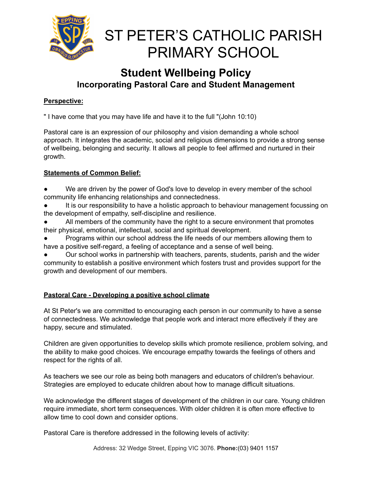

### **Student Wellbeing Policy Incorporating Pastoral Care and Student Management**

#### **Perspective:**

" I have come that you may have life and have it to the full "(John 10:10)

Pastoral care is an expression of our philosophy and vision demanding a whole school approach. It integrates the academic, social and religious dimensions to provide a strong sense of wellbeing, belonging and security. It allows all people to feel affirmed and nurtured in their growth.

#### **Statements of Common Belief:**

- We are driven by the power of God's love to develop in every member of the school community life enhancing relationships and connectedness.
- It is our responsibility to have a holistic approach to behaviour management focussing on the development of empathy, self-discipline and resilience.
- All members of the community have the right to a secure environment that promotes their physical, emotional, intellectual, social and spiritual development.
- Programs within our school address the life needs of our members allowing them to have a positive self-regard, a feeling of acceptance and a sense of well being.
- Our school works in partnership with teachers, parents, students, parish and the wider community to establish a positive environment which fosters trust and provides support for the growth and development of our members.

#### **Pastoral Care - Developing a positive school climate**

At St Peter's we are committed to encouraging each person in our community to have a sense of connectedness. We acknowledge that people work and interact more effectively if they are happy, secure and stimulated.

Children are given opportunities to develop skills which promote resilience, problem solving, and the ability to make good choices. We encourage empathy towards the feelings of others and respect for the rights of all.

As teachers we see our role as being both managers and educators of children's behaviour. Strategies are employed to educate children about how to manage difficult situations.

We acknowledge the different stages of development of the children in our care. Young children require immediate, short term consequences. With older children it is often more effective to allow time to cool down and consider options.

Pastoral Care is therefore addressed in the following levels of activity: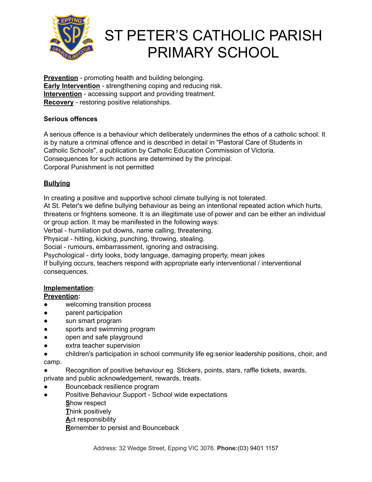

**Prevention** - promoting health and building belonging. **Early Intervention** - strengthening coping and reducing risk. **Intervention** - accessing support and providing treatment. **Recovery** - restoring positive relationships.

#### **Serious offences**

A serious offence is a behaviour which deliberately undermines the ethos of a catholic school. It is by nature a criminal offence and is described in detail in "Pastoral Care of Students in Catholic Schools", a publication by Catholic Education Commission of Victoria. Consequences for such actions are determined by the principal. Corporal Punishment is not permitted

#### **Bullying**

In creating a positive and supportive school climate bullying is not tolerated.

At St. Peter's we define bullying behaviour as being an intentional repeated action which hurts, threatens or frightens someone. It is an illegitimate use of power and can be either an individual or group action. It may be manifested in the following ways:

Verbal - humiliation put downs, name calling, threatening.

Physical - hitting, kicking, punching, throwing, stealing.

Social - rumours, embarrassment, ignoring and ostracising.

Psychological - dirty looks, body language, damaging property, mean jokes

If bullying occurs, teachers respond with appropriate early interventional / interventional consequences.

#### **Implementation**:

#### **Prevention:**

- welcoming transition process
- parent participation
- sun smart program
- sports and swimming program
- open and safe playground
- extra teacher supervision
- children's participation in school community life eg:senior leadership positions, choir, and camp.
- Recognition of positive behaviour eg. Stickers, points, stars, raffle tickets, awards,
- private and public acknowledgement, rewards, treats.
- Bounceback resilience program
- Positive Behaviour Support School wide expectations

**S**how respect

**T**hink positively

**A**ct responsibility

**R**emember to persist and Bounceback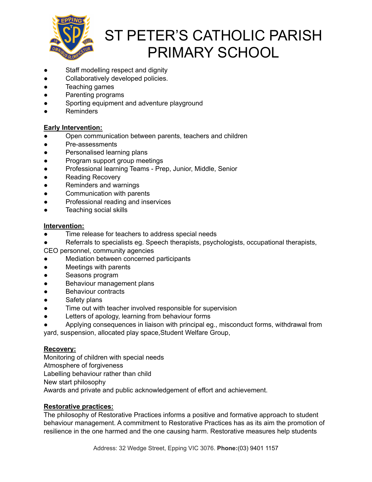

- Staff modelling respect and dignity
- Collaboratively developed policies.
- Teaching games
- Parenting programs
- Sporting equipment and adventure playground
- Reminders

#### **Early Intervention:**

- Open communication between parents, teachers and children
- Pre-assessments
- Personalised learning plans
- Program support group meetings
- Professional learning Teams Prep, Junior, Middle, Senior
- Reading Recovery
- Reminders and warnings
- Communication with parents
- Professional reading and inservices
- Teaching social skills

#### **Intervention:**

- Time release for teachers to address special needs
- Referrals to specialists eg. Speech therapists, psychologists, occupational therapists,
- CEO personnel, community agencies
- Mediation between concerned participants
- Meetings with parents
- Seasons program
- Behaviour management plans
- Behaviour contracts
- Safety plans
- Time out with teacher involved responsible for supervision
- Letters of apology, learning from behaviour forms
- Applying consequences in liaison with principal eg., misconduct forms, withdrawal from

yard, suspension, allocated play space,Student Welfare Group,

#### **Recovery:**

Monitoring of children with special needs Atmosphere of forgiveness Labelling behaviour rather than child New start philosophy Awards and private and public acknowledgement of effort and achievement.

#### **Restorative practices:**

The philosophy of Restorative Practices informs a positive and formative approach to student behaviour management. A commitment to Restorative Practices has as its aim the promotion of resilience in the one harmed and the one causing harm. Restorative measures help students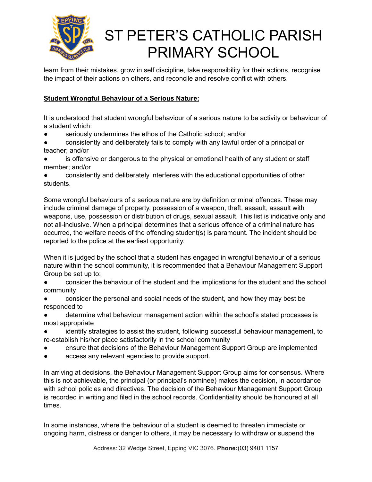

learn from their mistakes, grow in self discipline, take responsibility for their actions, recognise the impact of their actions on others, and reconcile and resolve conflict with others.

#### **Student Wrongful Behaviour of a Serious Nature:**

It is understood that student wrongful behaviour of a serious nature to be activity or behaviour of a student which:

- seriously undermines the ethos of the Catholic school; and/or
- consistently and deliberately fails to comply with any lawful order of a principal or teacher; and/or
- is offensive or dangerous to the physical or emotional health of any student or staff member; and/or
- consistently and deliberately interferes with the educational opportunities of other students.

Some wrongful behaviours of a serious nature are by definition criminal offences. These may include criminal damage of property, possession of a weapon, theft, assault, assault with weapons, use, possession or distribution of drugs, sexual assault. This list is indicative only and not all-inclusive. When a principal determines that a serious offence of a criminal nature has occurred, the welfare needs of the offending student(s) is paramount. The incident should be reported to the police at the earliest opportunity.

When it is judged by the school that a student has engaged in wrongful behaviour of a serious nature within the school community, it is recommended that a Behaviour Management Support Group be set up to:

- consider the behaviour of the student and the implications for the student and the school community
- consider the personal and social needs of the student, and how they may best be responded to
- determine what behaviour management action within the school's stated processes is most appropriate
- identify strategies to assist the student, following successful behaviour management, to re-establish his/her place satisfactorily in the school community
- ensure that decisions of the Behaviour Management Support Group are implemented
- access any relevant agencies to provide support.

In arriving at decisions, the Behaviour Management Support Group aims for consensus. Where this is not achievable, the principal (or principal's nominee) makes the decision, in accordance with school policies and directives. The decision of the Behaviour Management Support Group is recorded in writing and filed in the school records. Confidentiality should be honoured at all times.

In some instances, where the behaviour of a student is deemed to threaten immediate or ongoing harm, distress or danger to others, it may be necessary to withdraw or suspend the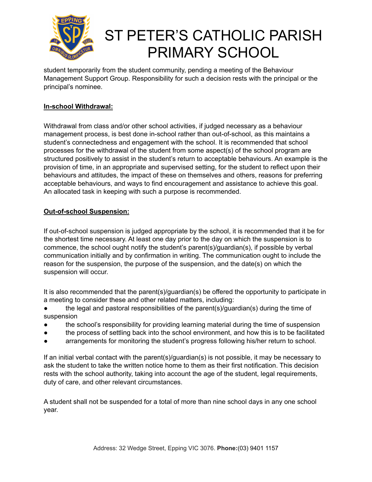

student temporarily from the student community, pending a meeting of the Behaviour Management Support Group. Responsibility for such a decision rests with the principal or the principal's nominee.

#### **In-school Withdrawal:**

Withdrawal from class and/or other school activities, if judged necessary as a behaviour management process, is best done in-school rather than out-of-school, as this maintains a student's connectedness and engagement with the school. It is recommended that school processes for the withdrawal of the student from some aspect(s) of the school program are structured positively to assist in the student's return to acceptable behaviours. An example is the provision of time, in an appropriate and supervised setting, for the student to reflect upon their behaviours and attitudes, the impact of these on themselves and others, reasons for preferring acceptable behaviours, and ways to find encouragement and assistance to achieve this goal. An allocated task in keeping with such a purpose is recommended.

#### **Out-of-school Suspension:**

If out-of-school suspension is judged appropriate by the school, it is recommended that it be for the shortest time necessary. At least one day prior to the day on which the suspension is to commence, the school ought notify the student's parent(s)/guardian(s), if possible by verbal communication initially and by confirmation in writing. The communication ought to include the reason for the suspension, the purpose of the suspension, and the date(s) on which the suspension will occur.

It is also recommended that the parent(s)/guardian(s) be offered the opportunity to participate in a meeting to consider these and other related matters, including:

- the legal and pastoral responsibilities of the parent(s)/guardian(s) during the time of suspension
- the school's responsibility for providing learning material during the time of suspension
- the process of settling back into the school environment, and how this is to be facilitated
- arrangements for monitoring the student's progress following his/her return to school.

If an initial verbal contact with the parent(s)/guardian(s) is not possible, it may be necessary to ask the student to take the written notice home to them as their first notification. This decision rests with the school authority, taking into account the age of the student, legal requirements, duty of care, and other relevant circumstances.

A student shall not be suspended for a total of more than nine school days in any one school year.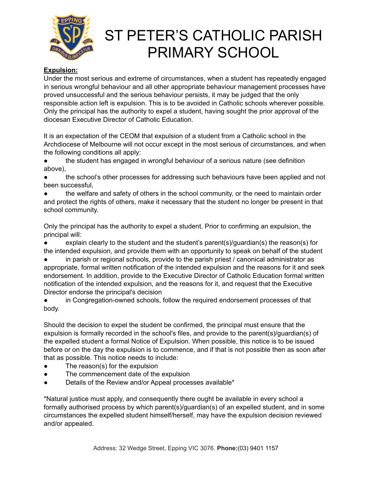

#### **Expulsion:**

Under the most serious and extreme of circumstances, when a student has repeatedly engaged in serious wrongful behaviour and all other appropriate behaviour management processes have proved unsuccessful and the serious behaviour persists, it may be judged that the only responsible action left is expulsion. This is to be avoided in Catholic schools wherever possible. Only the principal has the authority to expel a student, having sought the prior approval of the diocesan Executive Director of Catholic Education.

It is an expectation of the CEOM that expulsion of a student from a Catholic school in the Archdiocese of Melbourne will not occur except in the most serious of circumstances, and when the following conditions all apply:

the student has engaged in wrongful behaviour of a serious nature (see definition above),

the school's other processes for addressing such behaviours have been applied and not been successful,

the welfare and safety of others in the school community, or the need to maintain order and protect the rights of others, make it necessary that the student no longer be present in that school community.

Only the principal has the authority to expel a student. Prior to confirming an expulsion, the principal will:

explain clearly to the student and the student's parent(s)/guardian(s) the reason(s) for the intended expulsion, and provide them with an opportunity to speak on behalf of the student

in parish or regional schools, provide to the parish priest  $\ell$  canonical administrator as appropriate, formal written notification of the intended expulsion and the reasons for it and seek endorsement. In addition, provide to the Executive Director of Catholic Education formal written notification of the intended expulsion, and the reasons for it, and request that the Executive Director endorse the principal's decision

in Congregation-owned schools, follow the required endorsement processes of that body.

Should the decision to expel the student be confirmed, the principal must ensure that the expulsion is formally recorded in the school's files, and provide to the parent(s)/guardian(s) of the expelled student a formal Notice of Expulsion. When possible, this notice is to be issued before or on the day the expulsion is to commence, and if that is not possible then as soon after that as possible. This notice needs to include:

- The reason(s) for the expulsion
- The commencement date of the expulsion
- Details of the Review and/or Appeal processes available\*

\*Natural justice must apply, and consequently there ought be available in every school a formally authorised process by which parent(s)/guardian(s) of an expelled student, and in some circumstances the expelled student himself/herself, may have the expulsion decision reviewed and/or appealed.